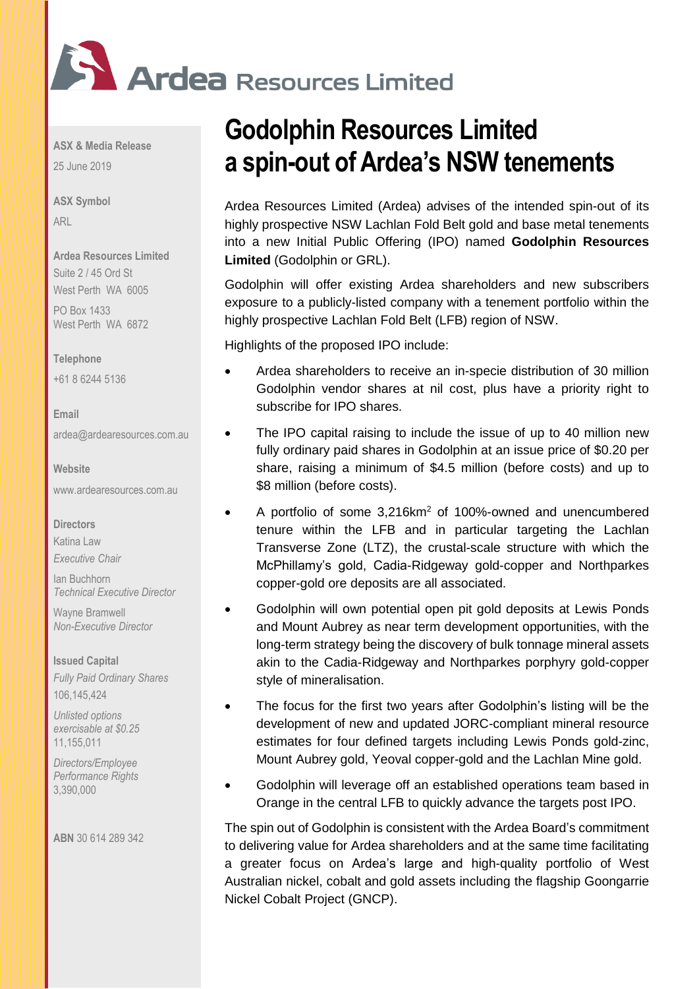

**ASX & Media Release**  25 June 2019

**ASX Symbol**  ARL

**Ardea Resources Limited**  Suite 2 / 45 Ord St West Perth WA 6005

PO Box 1433 West Perth WA 6872

#### **Telephone**

+61 8 6244 5136

**Email**  [ardea@ardearesources.com.au](mailto:ardea@ardearesources.com.au) 

## **Website**

[www.ardearesources.com.au](http://www.ardearesources.com.au/) 

#### **Directors**

Katina Law *Executive Chair*

Ian Buchhorn

Wayne Bramwell *Non-Executive Director* 

*Technical Executive Director* 

#### **Issued Capital**

*Fully Paid Ordinary Shares* 106,145,424

*Unlisted options exercisable at \$0.25* 11,155,011

*Directors/Employee Performance Rights* 3,390,000

**ABN** 30 614 289 342

# **Godolphin Resources Limited a spin-out of Ardea's NSW tenements**

Ardea Resources Limited (Ardea) advises of the intended spin-out of its highly prospective NSW Lachlan Fold Belt gold and base metal tenements into a new Initial Public Offering (IPO) named **Godolphin Resources Limited** (Godolphin or GRL).

Godolphin will offer existing Ardea shareholders and new subscribers exposure to a publicly-listed company with a tenement portfolio within the highly prospective Lachlan Fold Belt (LFB) region of NSW.

Highlights of the proposed IPO include:

- Ardea shareholders to receive an in-specie distribution of 30 million Godolphin vendor shares at nil cost, plus have a priority right to subscribe for IPO shares.
- The IPO capital raising to include the issue of up to 40 million new fully ordinary paid shares in Godolphin at an issue price of \$0.20 per share, raising a minimum of \$4.5 million (before costs) and up to \$8 million (before costs).
- A portfolio of some 3.216km<sup>2</sup> of 100%-owned and unencumbered tenure within the LFB and in particular targeting the Lachlan Transverse Zone (LTZ), the crustal-scale structure with which the McPhillamy's gold, Cadia-Ridgeway gold-copper and Northparkes copper-gold ore deposits are all associated.
- Godolphin will own potential open pit gold deposits at Lewis Ponds and Mount Aubrey as near term development opportunities, with the long-term strategy being the discovery of bulk tonnage mineral assets akin to the Cadia-Ridgeway and Northparkes porphyry gold-copper style of mineralisation.
- The focus for the first two years after Godolphin's listing will be the development of new and updated JORC-compliant mineral resource estimates for four defined targets including Lewis Ponds gold-zinc, Mount Aubrey gold, Yeoval copper-gold and the Lachlan Mine gold.
- Godolphin will leverage off an established operations team based in Orange in the central LFB to quickly advance the targets post IPO.

The spin out of Godolphin is consistent with the Ardea Board's commitment to delivering value for Ardea shareholders and at the same time facilitating a greater focus on Ardea's large and high-quality portfolio of West Australian nickel, cobalt and gold assets including the flagship Goongarrie Nickel Cobalt Project (GNCP).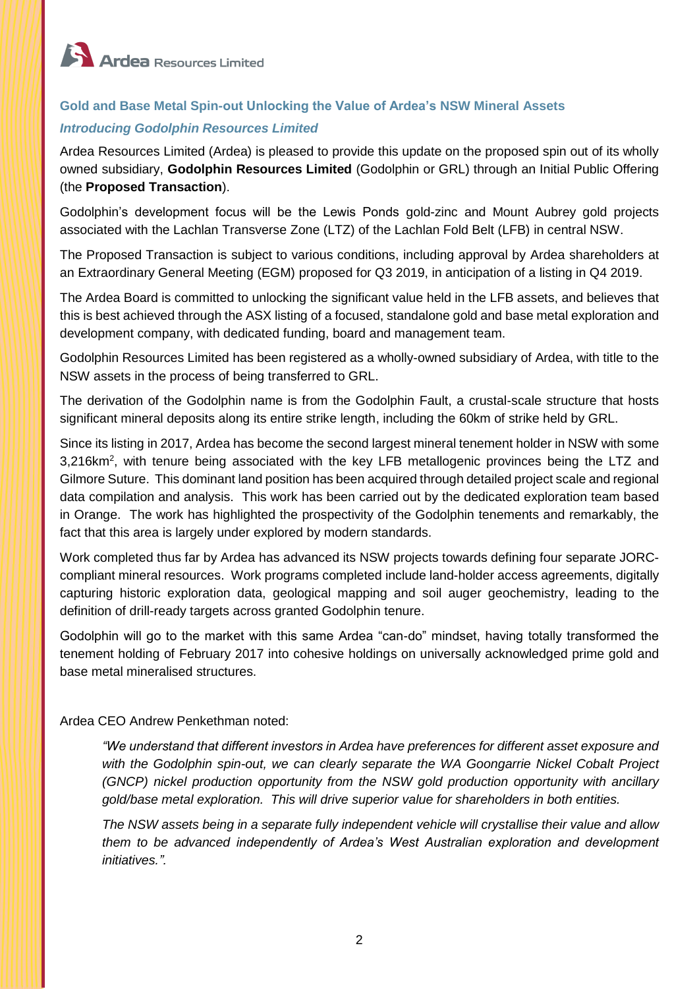

# **Gold and Base Metal Spin-out Unlocking the Value of Ardea's NSW Mineral Assets**

## *Introducing Godolphin Resources Limited*

Ardea Resources Limited (Ardea) is pleased to provide this update on the proposed spin out of its wholly owned subsidiary, **Godolphin Resources Limited** (Godolphin or GRL) through an Initial Public Offering (the **Proposed Transaction**).

Godolphin's development focus will be the Lewis Ponds gold-zinc and Mount Aubrey gold projects associated with the Lachlan Transverse Zone (LTZ) of the Lachlan Fold Belt (LFB) in central NSW.

The Proposed Transaction is subject to various conditions, including approval by Ardea shareholders at an Extraordinary General Meeting (EGM) proposed for Q3 2019, in anticipation of a listing in Q4 2019.

The Ardea Board is committed to unlocking the significant value held in the LFB assets, and believes that this is best achieved through the ASX listing of a focused, standalone gold and base metal exploration and development company, with dedicated funding, board and management team.

Godolphin Resources Limited has been registered as a wholly-owned subsidiary of Ardea, with title to the NSW assets in the process of being transferred to GRL.

The derivation of the Godolphin name is from the Godolphin Fault, a crustal-scale structure that hosts significant mineral deposits along its entire strike length, including the 60km of strike held by GRL.

Since its listing in 2017, Ardea has become the second largest mineral tenement holder in NSW with some 3,216km<sup>2</sup>, with tenure being associated with the key LFB metallogenic provinces being the LTZ and Gilmore Suture. This dominant land position has been acquired through detailed project scale and regional data compilation and analysis. This work has been carried out by the dedicated exploration team based in Orange. The work has highlighted the prospectivity of the Godolphin tenements and remarkably, the fact that this area is largely under explored by modern standards.

Work completed thus far by Ardea has advanced its NSW projects towards defining four separate JORCcompliant mineral resources. Work programs completed include land-holder access agreements, digitally capturing historic exploration data, geological mapping and soil auger geochemistry, leading to the definition of drill-ready targets across granted Godolphin tenure.

Godolphin will go to the market with this same Ardea "can-do" mindset, having totally transformed the tenement holding of February 2017 into cohesive holdings on universally acknowledged prime gold and base metal mineralised structures.

## Ardea CEO Andrew Penkethman noted:

*"We understand that different investors in Ardea have preferences for different asset exposure and with the Godolphin spin-out, we can clearly separate the WA Goongarrie Nickel Cobalt Project (GNCP) nickel production opportunity from the NSW gold production opportunity with ancillary gold/base metal exploration. This will drive superior value for shareholders in both entities.* 

*The NSW assets being in a separate fully independent vehicle will crystallise their value and allow them to be advanced independently of Ardea's West Australian exploration and development initiatives.".*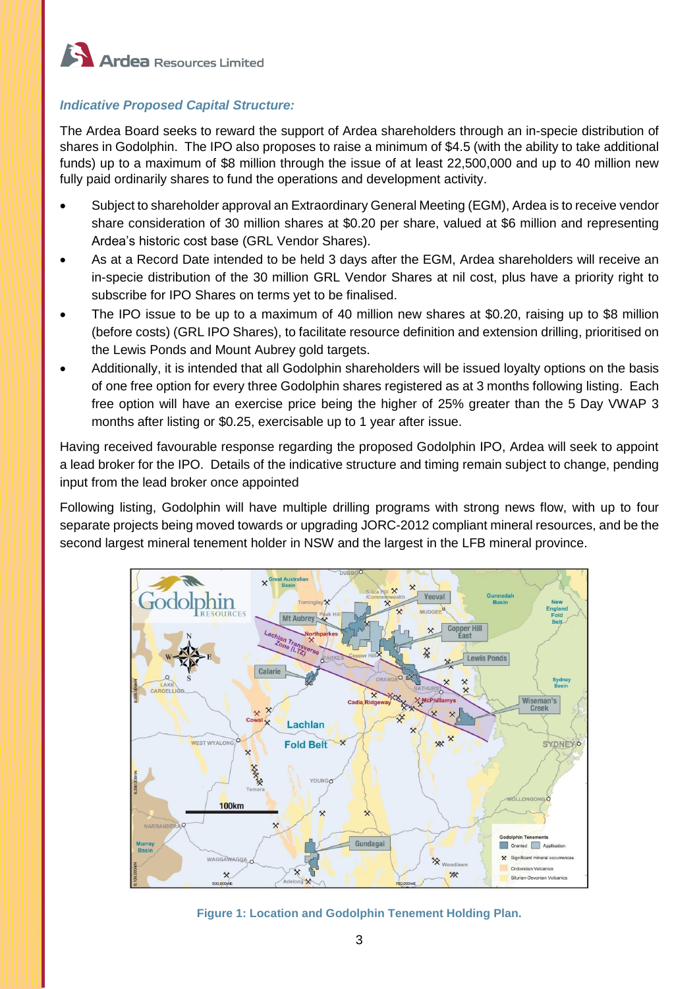

# *Indicative Proposed Capital Structure:*

The Ardea Board seeks to reward the support of Ardea shareholders through an in-specie distribution of shares in Godolphin. The IPO also proposes to raise a minimum of \$4.5 (with the ability to take additional funds) up to a maximum of \$8 million through the issue of at least 22,500,000 and up to 40 million new fully paid ordinarily shares to fund the operations and development activity.

- Subject to shareholder approval an Extraordinary General Meeting (EGM), Ardea is to receive vendor share consideration of 30 million shares at \$0.20 per share, valued at \$6 million and representing Ardea's historic cost base (GRL Vendor Shares).
- As at a Record Date intended to be held 3 days after the EGM, Ardea shareholders will receive an in-specie distribution of the 30 million GRL Vendor Shares at nil cost, plus have a priority right to subscribe for IPO Shares on terms yet to be finalised.
- The IPO issue to be up to a maximum of 40 million new shares at \$0.20, raising up to \$8 million (before costs) (GRL IPO Shares), to facilitate resource definition and extension drilling, prioritised on the Lewis Ponds and Mount Aubrey gold targets.
- Additionally, it is intended that all Godolphin shareholders will be issued loyalty options on the basis of one free option for every three Godolphin shares registered as at 3 months following listing. Each free option will have an exercise price being the higher of 25% greater than the 5 Day VWAP 3 months after listing or \$0.25, exercisable up to 1 year after issue.

Having received favourable response regarding the proposed Godolphin IPO, Ardea will seek to appoint a lead broker for the IPO. Details of the indicative structure and timing remain subject to change, pending input from the lead broker once appointed

Following listing, Godolphin will have multiple drilling programs with strong news flow, with up to four separate projects being moved towards or upgrading JORC-2012 compliant mineral resources, and be the second largest mineral tenement holder in NSW and the largest in the LFB mineral province.



**Figure 1: Location and Godolphin Tenement Holding Plan.**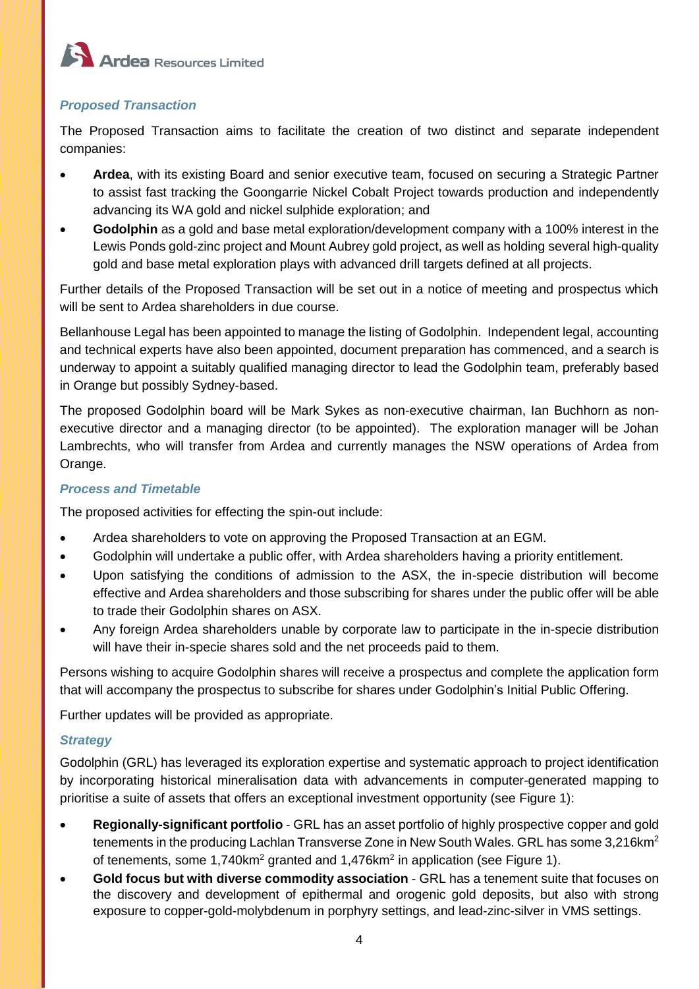

# *Proposed Transaction*

The Proposed Transaction aims to facilitate the creation of two distinct and separate independent companies:

- **Ardea**, with its existing Board and senior executive team, focused on securing a Strategic Partner to assist fast tracking the Goongarrie Nickel Cobalt Project towards production and independently advancing its WA gold and nickel sulphide exploration; and
- **Godolphin** as a gold and base metal exploration/development company with a 100% interest in the Lewis Ponds gold-zinc project and Mount Aubrey gold project, as well as holding several high-quality gold and base metal exploration plays with advanced drill targets defined at all projects.

Further details of the Proposed Transaction will be set out in a notice of meeting and prospectus which will be sent to Ardea shareholders in due course.

Bellanhouse Legal has been appointed to manage the listing of Godolphin. Independent legal, accounting and technical experts have also been appointed, document preparation has commenced, and a search is underway to appoint a suitably qualified managing director to lead the Godolphin team, preferably based in Orange but possibly Sydney-based.

The proposed Godolphin board will be Mark Sykes as non-executive chairman, Ian Buchhorn as nonexecutive director and a managing director (to be appointed). The exploration manager will be Johan Lambrechts, who will transfer from Ardea and currently manages the NSW operations of Ardea from Orange.

# *Process and Timetable*

The proposed activities for effecting the spin-out include:

- Ardea shareholders to vote on approving the Proposed Transaction at an EGM.
- Godolphin will undertake a public offer, with Ardea shareholders having a priority entitlement.
- Upon satisfying the conditions of admission to the ASX, the in-specie distribution will become effective and Ardea shareholders and those subscribing for shares under the public offer will be able to trade their Godolphin shares on ASX.
- Any foreign Ardea shareholders unable by corporate law to participate in the in-specie distribution will have their in-specie shares sold and the net proceeds paid to them.

Persons wishing to acquire Godolphin shares will receive a prospectus and complete the application form that will accompany the prospectus to subscribe for shares under Godolphin's Initial Public Offering.

Further updates will be provided as appropriate.

# *Strategy*

Godolphin (GRL) has leveraged its exploration expertise and systematic approach to project identification by incorporating historical mineralisation data with advancements in computer-generated mapping to prioritise a suite of assets that offers an exceptional investment opportunity (see Figure 1):

- **Regionally-significant portfolio** GRL has an asset portfolio of highly prospective copper and gold tenements in the producing Lachlan Transverse Zone in New South Wales. GRL has some 3.216 km<sup>2</sup> of tenements, some 1,740km<sup>2</sup> granted and 1,476km<sup>2</sup> in application (see Figure 1).
- **Gold focus but with diverse commodity association** GRL has a tenement suite that focuses on the discovery and development of epithermal and orogenic gold deposits, but also with strong exposure to copper-gold-molybdenum in porphyry settings, and lead-zinc-silver in VMS settings.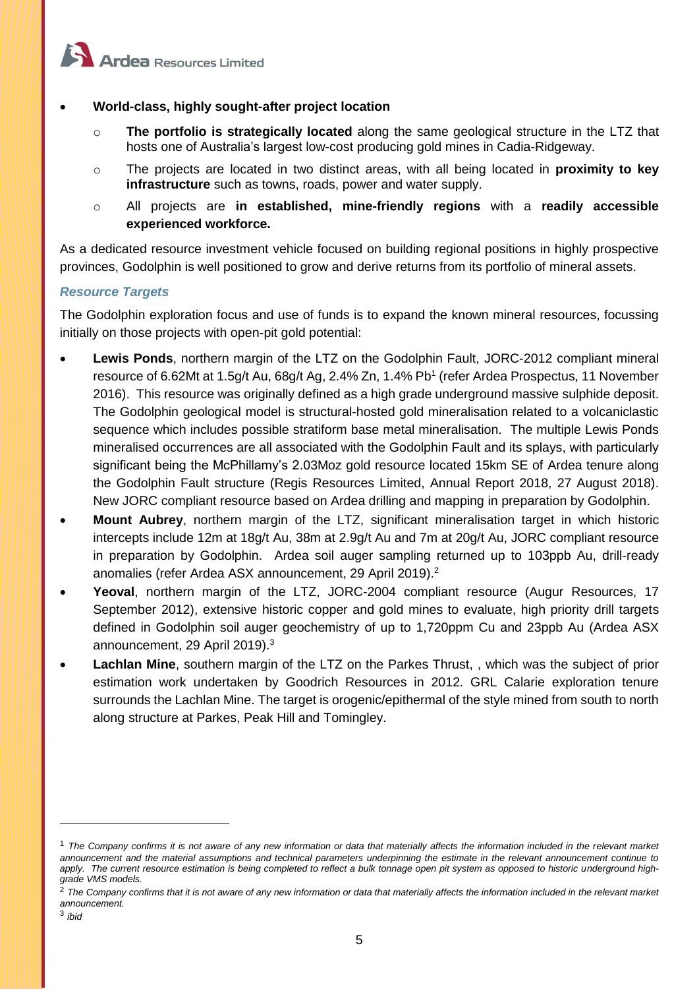

## • **World-class, highly sought-after project location**

- o **The portfolio is strategically located** along the same geological structure in the LTZ that hosts one of Australia's largest low-cost producing gold mines in Cadia-Ridgeway.
- o The projects are located in two distinct areas, with all being located in **proximity to key infrastructure** such as towns, roads, power and water supply.
- o All projects are **in established, mine-friendly regions** with a **readily accessible experienced workforce.**

As a dedicated resource investment vehicle focused on building regional positions in highly prospective provinces, Godolphin is well positioned to grow and derive returns from its portfolio of mineral assets.

#### *Resource Targets*

The Godolphin exploration focus and use of funds is to expand the known mineral resources, focussing initially on those projects with open-pit gold potential:

- **Lewis Ponds**, northern margin of the LTZ on the Godolphin Fault, JORC-2012 compliant mineral resource of 6.62Mt at 1.5g/t Au, 68g/t Ag, 2.4% Zn, 1.4% Pb<sup>1</sup> (refer Ardea Prospectus, 11 November 2016). This resource was originally defined as a high grade underground massive sulphide deposit. The Godolphin geological model is structural-hosted gold mineralisation related to a volcaniclastic sequence which includes possible stratiform base metal mineralisation. The multiple Lewis Ponds mineralised occurrences are all associated with the Godolphin Fault and its splays, with particularly significant being the McPhillamy's 2.03Moz gold resource located 15km SE of Ardea tenure along the Godolphin Fault structure (Regis Resources Limited, Annual Report 2018, 27 August 2018). New JORC compliant resource based on Ardea drilling and mapping in preparation by Godolphin.
- **Mount Aubrey**, northern margin of the LTZ, significant mineralisation target in which historic intercepts include 12m at 18g/t Au, 38m at 2.9g/t Au and 7m at 20g/t Au, JORC compliant resource in preparation by Godolphin. Ardea soil auger sampling returned up to 103ppb Au, drill-ready anomalies (refer Ardea ASX announcement, 29 April 2019). 2
- **Yeoval**, northern margin of the LTZ, JORC-2004 compliant resource (Augur Resources, 17 September 2012), extensive historic copper and gold mines to evaluate, high priority drill targets defined in Godolphin soil auger geochemistry of up to 1,720ppm Cu and 23ppb Au (Ardea ASX announcement, 29 April 2019).<sup>3</sup>
- **Lachlan Mine**, southern margin of the LTZ on the Parkes Thrust, , which was the subject of prior estimation work undertaken by Goodrich Resources in 2012. GRL Calarie exploration tenure surrounds the Lachlan Mine. The target is orogenic/epithermal of the style mined from south to north along structure at Parkes, Peak Hill and Tomingley.

<sup>1</sup> *The Company confirms it is not aware of any new information or data that materially affects the information included in the relevant market announcement and the material assumptions and technical parameters underpinning the estimate in the relevant announcement continue to apply. The current resource estimation is being completed to reflect a bulk tonnage open pit system as opposed to historic underground highgrade VMS models.*

<sup>&</sup>lt;sup>2</sup> The Company confirms that it is not aware of any new information or data that materially affects the information included in the relevant market *announcement.*

<sup>3</sup> *ibid*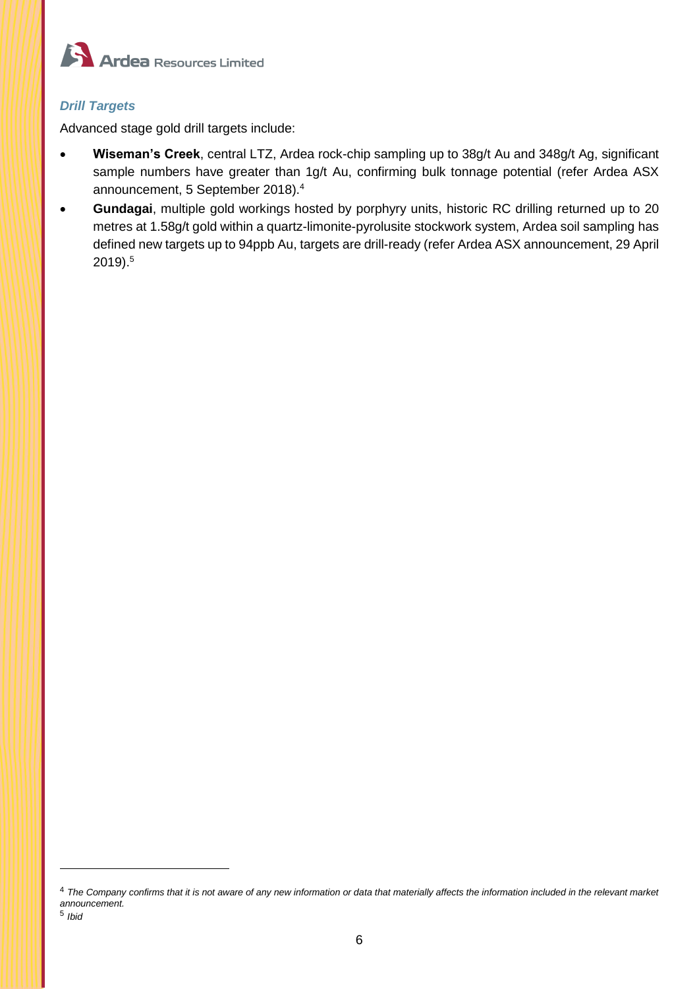

# *Drill Targets*

Advanced stage gold drill targets include:

- **Wiseman's Creek**, central LTZ, Ardea rock-chip sampling up to 38g/t Au and 348g/t Ag, significant sample numbers have greater than 1g/t Au, confirming bulk tonnage potential (refer Ardea ASX announcement, 5 September 2018). 4
- **Gundagai**, multiple gold workings hosted by porphyry units, historic RC drilling returned up to 20 metres at 1.58g/t gold within a quartz-limonite-pyrolusite stockwork system, Ardea soil sampling has defined new targets up to 94ppb Au, targets are drill-ready (refer Ardea ASX announcement, 29 April 2019). 5

<sup>4</sup> *The Company confirms that it is not aware of any new information or data that materially affects the information included in the relevant market announcement.*

<sup>5</sup> *Ibid*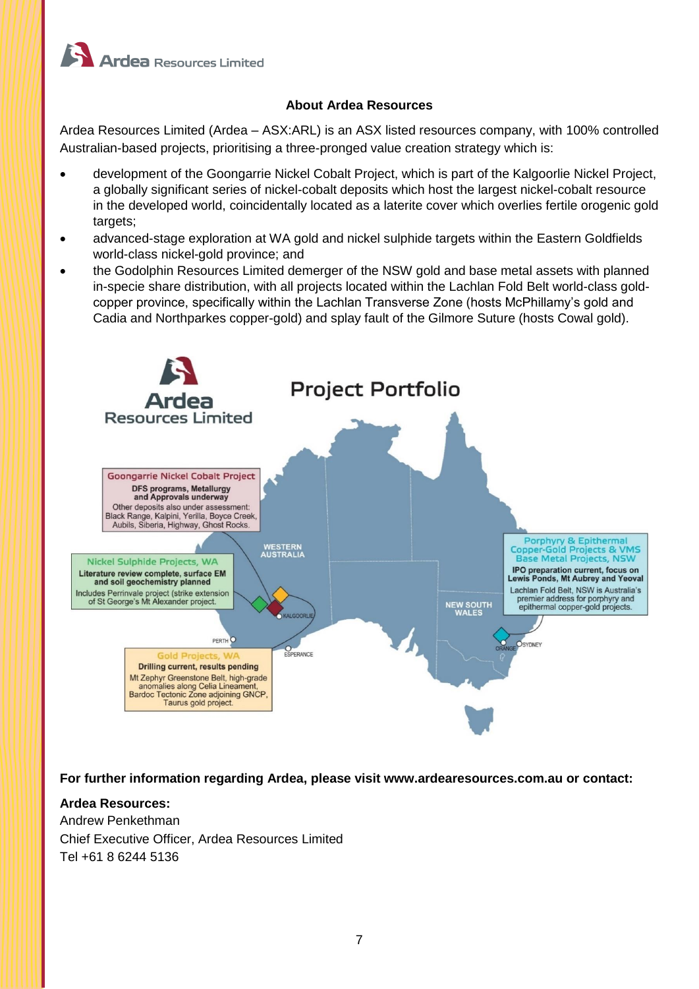

# **About Ardea Resources**

Ardea Resources Limited (Ardea – ASX:ARL) is an ASX listed resources company, with 100% controlled Australian-based projects, prioritising a three-pronged value creation strategy which is:

- development of the Goongarrie Nickel Cobalt Project, which is part of the Kalgoorlie Nickel Project, a globally significant series of nickel-cobalt deposits which host the largest nickel-cobalt resource in the developed world, coincidentally located as a laterite cover which overlies fertile orogenic gold targets;
- advanced-stage exploration at WA gold and nickel sulphide targets within the Eastern Goldfields world-class nickel-gold province; and
- the Godolphin Resources Limited demerger of the NSW gold and base metal assets with planned in-specie share distribution, with all projects located within the Lachlan Fold Belt world-class goldcopper province, specifically within the Lachlan Transverse Zone (hosts McPhillamy's gold and Cadia and Northparkes copper-gold) and splay fault of the Gilmore Suture (hosts Cowal gold).



**For further information regarding Ardea, please visit www.ardearesources.com.au or contact:**

## **Ardea Resources:**

Andrew Penkethman Chief Executive Officer, Ardea Resources Limited Tel +61 8 6244 5136